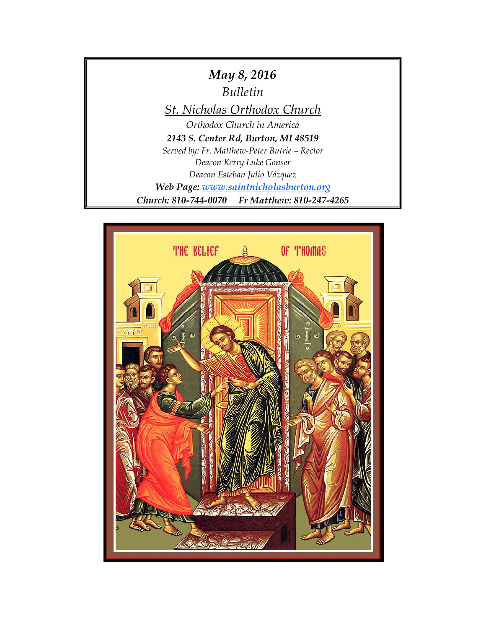

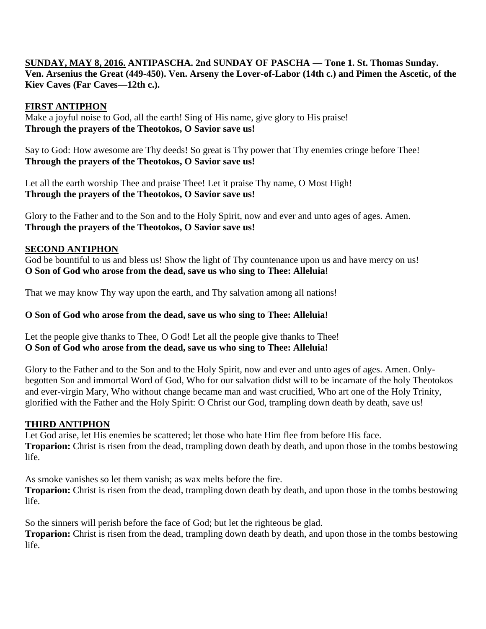### **SUNDAY, MAY 8, 2016. ANTIPASCHA. 2nd SUNDAY OF PASCHA — Tone 1. St. Thomas Sunday. Ven. Arsenius the Great (449-450). Ven. Arseny the Lover-of-Labor (14th c.) and Pimen the Ascetic, of the Kiev Caves (Far Caves—12th c.).**

### **FIRST ANTIPHON**

Make a joyful noise to God, all the earth! Sing of His name, give glory to His praise! **Through the prayers of the Theotokos, O Savior save us!**

Say to God: How awesome are Thy deeds! So great is Thy power that Thy enemies cringe before Thee! **Through the prayers of the Theotokos, O Savior save us!**

Let all the earth worship Thee and praise Thee! Let it praise Thy name, O Most High! **Through the prayers of the Theotokos, O Savior save us!**

Glory to the Father and to the Son and to the Holy Spirit, now and ever and unto ages of ages. Amen. **Through the prayers of the Theotokos, O Savior save us!**

### **SECOND ANTIPHON**

God be bountiful to us and bless us! Show the light of Thy countenance upon us and have mercy on us! **O Son of God who arose from the dead, save us who sing to Thee: Alleluia!**

That we may know Thy way upon the earth, and Thy salvation among all nations!

## **O Son of God who arose from the dead, save us who sing to Thee: Alleluia!**

Let the people give thanks to Thee, O God! Let all the people give thanks to Thee! **O Son of God who arose from the dead, save us who sing to Thee: Alleluia!**

Glory to the Father and to the Son and to the Holy Spirit, now and ever and unto ages of ages. Amen. Onlybegotten Son and immortal Word of God, Who for our salvation didst will to be incarnate of the holy Theotokos and ever-virgin Mary, Who without change became man and wast crucified, Who art one of the Holy Trinity, glorified with the Father and the Holy Spirit: O Christ our God, trampling down death by death, save us!

### **THIRD ANTIPHON**

Let God arise, let His enemies be scattered; let those who hate Him flee from before His face. **Troparion:** Christ is risen from the dead, trampling down death by death, and upon those in the tombs bestowing life.

As smoke vanishes so let them vanish; as wax melts before the fire.

**Troparion:** Christ is risen from the dead, trampling down death by death, and upon those in the tombs bestowing life.

So the sinners will perish before the face of God; but let the righteous be glad.

**Troparion:** Christ is risen from the dead, trampling down death by death, and upon those in the tombs bestowing life.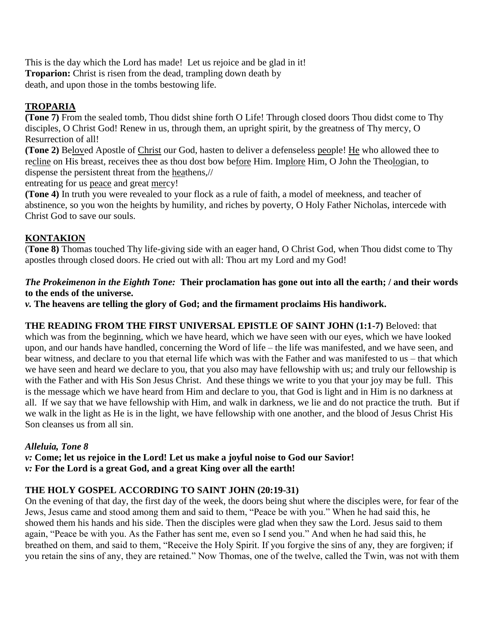This is the day which the Lord has made! Let us rejoice and be glad in it! **Troparion:** Christ is risen from the dead, trampling down death by death, and upon those in the tombs bestowing life.

# **TROPARIA**

**(Tone 7)** From the sealed tomb, Thou didst shine forth O Life! Through closed doors Thou didst come to Thy disciples, O Christ God! Renew in us, through them, an upright spirit, by the greatness of Thy mercy, O Resurrection of all!

**(Tone 2)** Beloved Apostle of Christ our God, hasten to deliver a defenseless people! He who allowed thee to recline on His breast, receives thee as thou dost bow before Him. Implore Him, O John the Theologian, to dispense the persistent threat from the heathens,//

entreating for us peace and great mercy!

**(Tone 4)** In truth you were revealed to your flock as a rule of faith, a model of meekness, and teacher of abstinence, so you won the heights by humility, and riches by poverty, O Holy Father Nicholas, intercede with Christ God to save our souls.

### **KONTAKION**

(**Tone 8)** Thomas touched Thy life-giving side with an eager hand, O Christ God, when Thou didst come to Thy apostles through closed doors. He cried out with all: Thou art my Lord and my God!

### *The Prokeimenon in the Eighth Tone:* **Their proclamation has gone out into all the earth; / and their words to the ends of the universe.**

*v.* **The heavens are telling the glory of God; and the firmament proclaims His handiwork.**

**THE READING FROM THE FIRST UNIVERSAL EPISTLE OF SAINT JOHN (1:1-7)** Beloved: that which was from the beginning, which we have heard, which we have seen with our eyes, which we have looked upon, and our hands have handled, concerning the Word of life – the life was manifested, and we have seen, and bear witness, and declare to you that eternal life which was with the Father and was manifested to us – that which we have seen and heard we declare to you, that you also may have fellowship with us; and truly our fellowship is with the Father and with His Son Jesus Christ.And these things we write to you that your joy may be full.This is the message which we have heard from Him and declare to you, that God is light and in Him is no darkness at all.If we say that we have fellowship with Him, and walk in darkness, we lie and do not practice the truth.But if we walk in the light as He is in the light, we have fellowship with one another, and the blood of Jesus Christ His Son cleanses us from all sin.

### *Alleluia, Tone 8*

*v:* **Come; let us rejoice in the Lord! Let us make a joyful noise to God our Savior!**

*v:* **For the Lord is a great God, and a great King over all the earth!**

# **THE HOLY GOSPEL ACCORDING TO SAINT JOHN (20:19-31)**

On the evening of that day, the first day of the week, the doors being shut where the disciples were, for fear of the Jews, Jesus came and stood among them and said to them, "Peace be with you." When he had said this, he showed them his hands and his side. Then the disciples were glad when they saw the Lord. Jesus said to them again, "Peace be with you. As the Father has sent me, even so I send you." And when he had said this, he breathed on them, and said to them, "Receive the Holy Spirit. If you forgive the sins of any, they are forgiven; if you retain the sins of any, they are retained." Now Thomas, one of the twelve, called the Twin, was not with them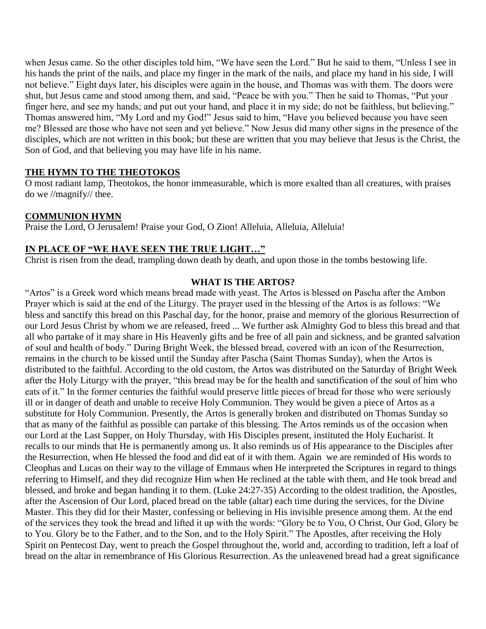when Jesus came. So the other disciples told him, "We have seen the Lord." But he said to them, "Unless I see in his hands the print of the nails, and place my finger in the mark of the nails, and place my hand in his side, I will not believe." Eight days later, his disciples were again in the house, and Thomas was with them. The doors were shut, but Jesus came and stood among them, and said, "Peace be with you." Then he said to Thomas, "Put your finger here, and see my hands; and put out your hand, and place it in my side; do not be faithless, but believing." Thomas answered him, "My Lord and my God!" Jesus said to him, "Have you believed because you have seen me? Blessed are those who have not seen and yet believe." Now Jesus did many other signs in the presence of the disciples, which are not written in this book; but these are written that you may believe that Jesus is the Christ, the Son of God, and that believing you may have life in his name.

### **THE HYMN TO THE THEOTOKOS**

O most radiant lamp, Theotokos, the honor immeasurable, which is more exalted than all creatures, with praises do we //magnify// thee.

### **COMMUNION HYMN**

Praise the Lord, O Jerusalem! Praise your God, O Zion! Alleluia, Alleluia, Alleluia!

### **IN PLACE OF "WE HAVE SEEN THE TRUE LIGHT…"**

Christ is risen from the dead, trampling down death by death, and upon those in the tombs bestowing life.

### **WHAT IS THE ARTOS?**

"Artos" is a Greek word which means bread made with yeast. The Artos is blessed on Pascha after the Ambon Prayer which is said at the end of the Liturgy. The prayer used in the blessing of the Artos is as follows: "We bless and sanctify this bread on this Paschal day, for the honor, praise and memory of the glorious Resurrection of our Lord Jesus Christ by whom we are released, freed ... We further ask Almighty God to bless this bread and that all who partake of it may share in His Heavenly gifts and be free of all pain and sickness, and be granted salvation of soul and health of body." During Bright Week, the blessed bread, covered with an icon of the Resurrection, remains in the church to be kissed until the Sunday after Pascha (Saint Thomas Sunday), when the Artos is distributed to the faithful. According to the old custom, the Artos was distributed on the Saturday of Bright Week after the Holy Liturgy with the prayer, "this bread may be for the health and sanctification of the soul of him who eats of it." In the former centuries the faithful would preserve little pieces of bread for those who were seriously ill or in danger of death and unable to receive Holy Communion. They would be given a piece of Artos as a substitute for Holy Communion. Presently, the Artos is generally broken and distributed on Thomas Sunday so that as many of the faithful as possible can partake of this blessing. The Artos reminds us of the occasion when our Lord at the Last Supper, on Holy Thursday, with His Disciples present, instituted the Holy Eucharist. It recalls to our minds that He is permanently among us. It also reminds us of His appearance to the Disciples after the Resurrection, when He blessed the food and did eat of it with them. Again we are reminded of His words to Cleophas and Lucas on their way to the village of Emmaus when He interpreted the Scriptures in regard to things referring to Himself, and they did recognize Him when He reclined at the table with them, and He took bread and blessed, and broke and began handing it to them. (Luke 24:27-35) According to the oldest tradition, the Apostles, after the Ascension of Our Lord, placed bread on the table (altar) each time during the services, for the Divine Master. This they did for their Master, confessing or believing in His invisible presence among them. At the end of the services they took the bread and lifted it up with the words: "Glory be to You, O Christ, Our God, Glory be to You. Glory be to the Father, and to the Son, and to the Holy Spirit." The Apostles, after receiving the Holy Spirit on Pentecost Day, went to preach the Gospel throughout the, world and, according to tradition, left a loaf of bread on the altar in remembrance of His Glorious Resurrection. As the unleavened bread had a great significance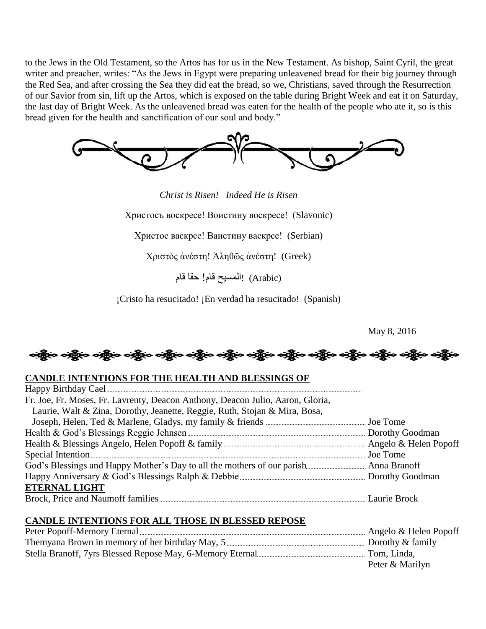to the Jews in the Old Testament, so the Artos has for us in the New Testament. As bishop, Saint Cyril, the great writer and preacher, writes: "As the Jews in Egypt were preparing unleavened bread for their big journey through the Red Sea, and after crossing the Sea they did eat the bread, so we, Christians, saved through the Resurrection of our Savior from sin, lift up the Artos, which is exposed on the table during Bright Week and eat it on Saturday, the last day of Bright Week. As the unleavened bread was eaten for the health of the people who ate it, so is this bread given for the health and sanctification of our soul and body."



*Christ is Risen! Indeed He is Risen*

Христосъ воскресе! Воистину воскресе! (Slavonic)

Христос васкрсе! Ваистину васкрсе! (Serbian)

Χριστὸς ἀνέστη! Ἀληθῶς ἀνέστη! (Greek)

(Arabic! (المسيح قام! حقا قام

¡Cristo ha resucitado! ¡En verdad ha resucitado! (Spanish)

May 8, 2016

### **CANDLE INTENTIONS FOR THE HEALTH AND BLESSINGS OF**

| Fr. Joe, Fr. Moses, Fr. Lavrenty, Deacon Anthony, Deacon Julio, Aaron, Gloria, |  |
|--------------------------------------------------------------------------------|--|
| Laurie, Walt & Zina, Dorothy, Jeanette, Reggie, Ruth, Stojan & Mira, Bosa,     |  |
|                                                                                |  |
|                                                                                |  |
|                                                                                |  |
|                                                                                |  |
|                                                                                |  |
|                                                                                |  |
| <b>ETERNAL LIGHT</b>                                                           |  |
|                                                                                |  |

### **CANDLE INTENTIONS FOR ALL THOSE IN BLESSED REPOSE**

| Angelo & Helen Popoff |
|-----------------------|
|                       |
| Tom, Linda.           |
| Peter & Marilyn       |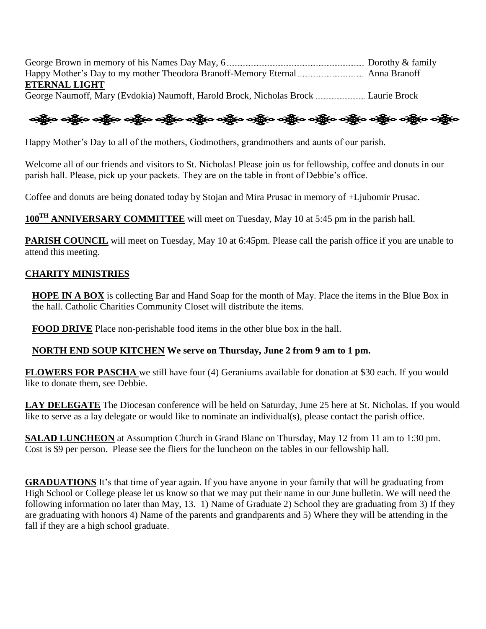George Brown in memory of his Names Day May, 6 Dorothy & family Happy Mother's Day to my mother Theodora Branoff-Memory Eternal Anna Branoff **ETERNAL LIGHT** George Naumoff, Mary (Evdokia) Naumoff, Harold Brock, Nicholas Brock Laurie Brock

န္းမွိုက သန္တိုက သန္တိုက သန္တိုက သန္တိုက သန္တိုက သန္တိုက သန္တိုက သန္တိုက သန္တိုက သန္တိုက သန္တိုက သန္တိုက

Happy Mother's Day to all of the mothers, Godmothers, grandmothers and aunts of our parish.

Welcome all of our friends and visitors to St. Nicholas! Please join us for fellowship, coffee and donuts in our parish hall. Please, pick up your packets. They are on the table in front of Debbie's office.

Coffee and donuts are being donated today by Stojan and Mira Prusac in memory of +Ljubomir Prusac.

**100TH ANNIVERSARY COMMITTEE** will meet on Tuesday, May 10 at 5:45 pm in the parish hall.

**PARISH COUNCIL** will meet on Tuesday, May 10 at 6:45pm. Please call the parish office if you are unable to attend this meeting.

### **CHARITY MINISTRIES**

**HOPE IN A BOX** is collecting Bar and Hand Soap for the month of May. Place the items in the Blue Box in the hall. Catholic Charities Community Closet will distribute the items.

**FOOD DRIVE** Place non-perishable food items in the other blue box in the hall.

#### **NORTH END SOUP KITCHEN We serve on Thursday, June 2 from 9 am to 1 pm.**

**FLOWERS FOR PASCHA** we still have four (4) Geraniums available for donation at \$30 each. If you would like to donate them, see Debbie.

**LAY DELEGATE** The Diocesan conference will be held on Saturday, June 25 here at St. Nicholas. If you would like to serve as a lay delegate or would like to nominate an individual(s), please contact the parish office.

**SALAD LUNCHEON** at Assumption Church in Grand Blanc on Thursday, May 12 from 11 am to 1:30 pm. Cost is \$9 per person. Please see the fliers for the luncheon on the tables in our fellowship hall.

**GRADUATIONS** It's that time of year again. If you have anyone in your family that will be graduating from High School or College please let us know so that we may put their name in our June bulletin. We will need the following information no later than May, 13. 1) Name of Graduate 2) School they are graduating from 3) If they are graduating with honors 4) Name of the parents and grandparents and 5) Where they will be attending in the fall if they are a high school graduate.